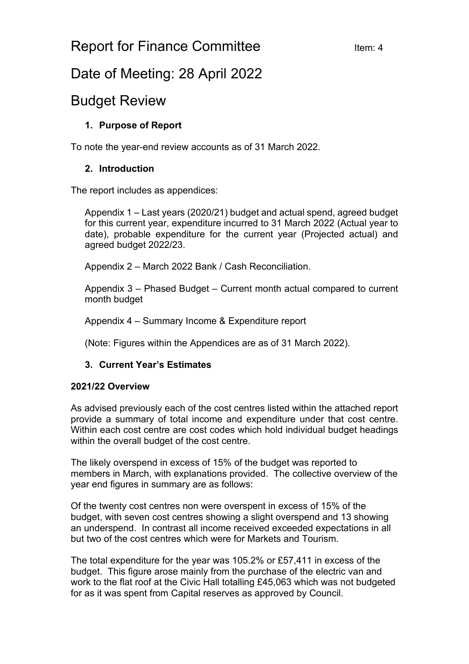## Report for Finance Committee Item: 4

# Date of Meeting: 28 April 2022

### Budget Review

#### **1. Purpose of Report**

To note the year-end review accounts as of 31 March 2022.

#### **2. Introduction**

The report includes as appendices:

Appendix 1 – Last years (2020/21) budget and actual spend, agreed budget for this current year, expenditure incurred to 31 March 2022 (Actual year to date), probable expenditure for the current year (Projected actual) and agreed budget 2022/23.

Appendix 2 – March 2022 Bank / Cash Reconciliation.

Appendix 3 – Phased Budget – Current month actual compared to current month budget

Appendix 4 – Summary Income & Expenditure report

(Note: Figures within the Appendices are as of 31 March 2022).

#### **3. Current Year's Estimates**

#### **2021/22 Overview**

As advised previously each of the cost centres listed within the attached report provide a summary of total income and expenditure under that cost centre. Within each cost centre are cost codes which hold individual budget headings within the overall budget of the cost centre.

The likely overspend in excess of 15% of the budget was reported to members in March, with explanations provided. The collective overview of the year end figures in summary are as follows:

Of the twenty cost centres non were overspent in excess of 15% of the budget, with seven cost centres showing a slight overspend and 13 showing an underspend. In contrast all income received exceeded expectations in all but two of the cost centres which were for Markets and Tourism.

The total expenditure for the year was 105.2% or £57,411 in excess of the budget. This figure arose mainly from the purchase of the electric van and work to the flat roof at the Civic Hall totalling £45,063 which was not budgeted for as it was spent from Capital reserves as approved by Council.